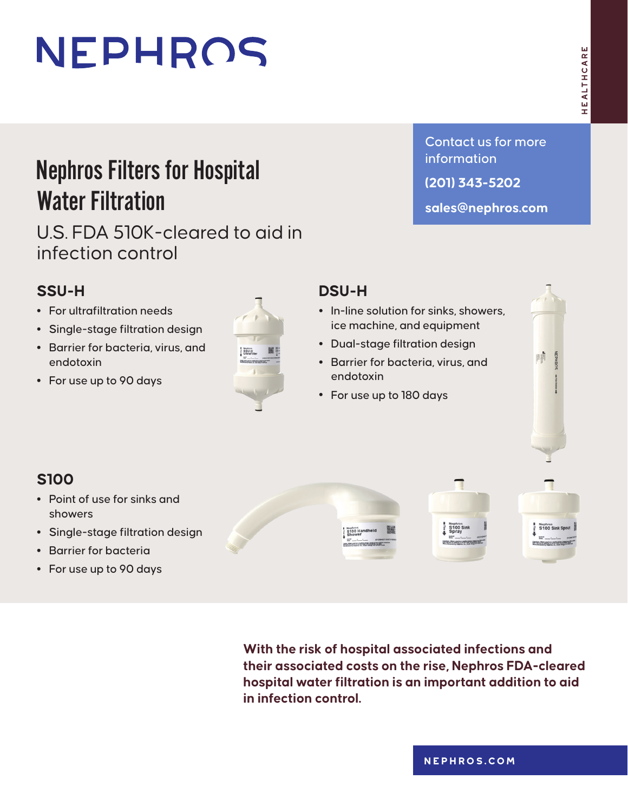# NEPHROS

## Nephros Filters for Hospital Water Filtration

U.S. FDA 510K-cleared to aid in infection control

### **SSU-H**

- **•** For ultrafiltration needs
- **•** Single-stage filtration design
- **•** Barrier for bacteria, virus, and endotoxin
- **•** For use up to 90 days



Contact us for more information

**(201) 343-5202**

**sales@nephros.com**

### **DSU-H •** In-line solution for sinks, showers, ice machine, and equipment **•** Dual-stage filtration design 画面 **•** Barrier for bacteria, virus, and endotoxin **•** For use up to 180 days

### **S100**

- **•** Point of use for sinks and showers
- **•** Single-stage filtration design
- **•** Barrier for bacteria
- **•** For use up to 90 days



**With the risk of hospital associated infections and their associated costs on the rise, Nephros FDA-cleared hospital water filtration is an important addition to aid in infection control.**